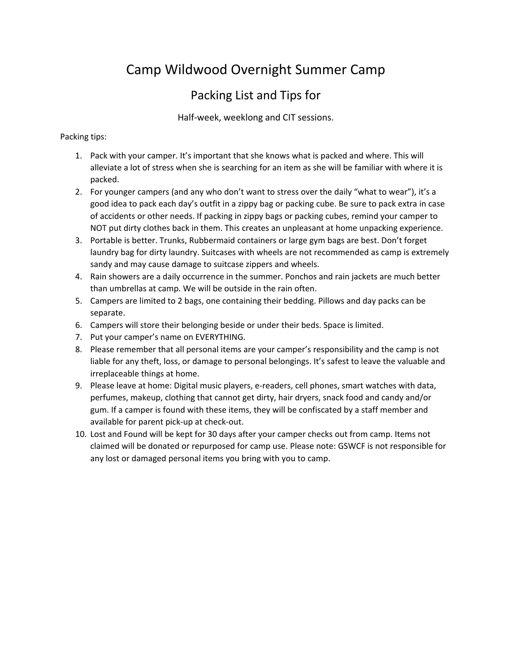# Camp Wildwood Overnight Summer Camp

### Packing List and Tips for

Half-week, weeklong and CIT sessions.

#### Packing tips:

- 1. Pack with your camper. It's important that she knows what is packed and where. This will alleviate a lot of stress when she is searching for an item as she will be familiar with where it is packed.
- 2. For younger campers (and any who don't want to stress over the daily "what to wear"), it's a good idea to pack each day's outfit in a zippy bag or packing cube. Be sure to pack extra in case of accidents or other needs. If packing in zippy bags or packing cubes, remind your camper to NOT put dirty clothes back in them. This creates an unpleasant at home unpacking experience.
- 3. Portable is better. Trunks, Rubbermaid containers or large gym bags are best. Don't forget laundry bag for dirty laundry. Suitcases with wheels are not recommended as camp is extremely sandy and may cause damage to suitcase zippers and wheels.
- 4. Rain showers are a daily occurrence in the summer. Ponchos and rain jackets are much better than umbrellas at camp. We will be outside in the rain often.
- 5. Campers are limited to 2 bags, one containing their bedding. Pillows and day packs can be separate.
- 6. Campers will store their belonging beside or under their beds. Space is limited.
- 7. Put your camper's name on EVERYTHING.
- 8. Please remember that all personal items are your camper's responsibility and the camp is not liable for any theft, loss, or damage to personal belongings. It's safest to leave the valuable and irreplaceable things at home.
- 9. Please leave at home: Digital music players, e-readers, cell phones, smart watches with data, perfumes, makeup, clothing that cannot get dirty, hair dryers, snack food and candy and/or gum. If a camper is found with these items, they will be confiscated by a staff member and available for parent pick-up at check-out.
- 10. Lost and Found will be kept for 30 days after your camper checks out from camp. Items not claimed will be donated or repurposed for camp use. Please note: GSWCF is not responsible for any lost or damaged personal items you bring with you to camp.